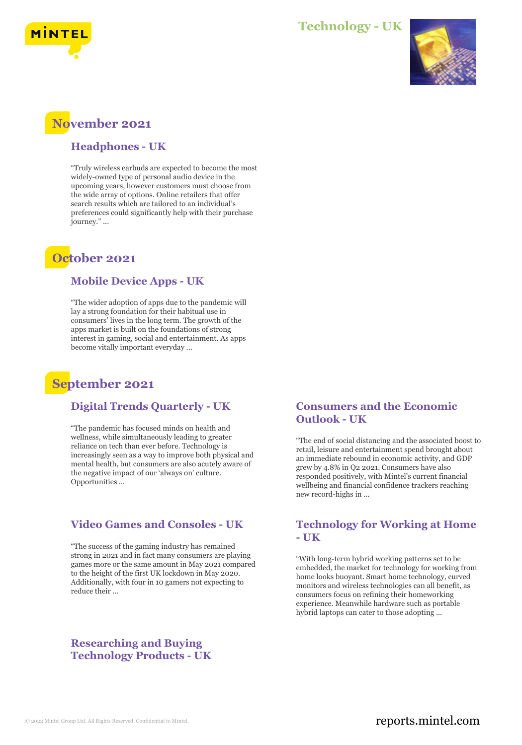

## **Technology - UK**



# **November 2021**

#### **Headphones - UK**

"Truly wireless earbuds are expected to become the most widely-owned type of personal audio device in the upcoming years, however customers must choose from the wide array of options. Online retailers that offer search results which are tailored to an individual's preferences could significantly help with their purchase journey." ...

# **October 2021**

#### **Mobile Device Apps - UK**

"The wider adoption of apps due to the pandemic will lay a strong foundation for their habitual use in consumers' lives in the long term. The growth of the apps market is built on the foundations of strong interest in gaming, social and entertainment. As apps become vitally important everyday ...

# **September 2021**

#### **Digital Trends Quarterly - UK**

"The pandemic has focused minds on health and wellness, while simultaneously leading to greater reliance on tech than ever before. Technology is increasingly seen as a way to improve both physical and mental health, but consumers are also acutely aware of the negative impact of our 'always on' culture. Opportunities ...

#### **Video Games and Consoles - UK**

"The success of the gaming industry has remained strong in 2021 and in fact many consumers are playing games more or the same amount in May 2021 compared to the height of the first UK lockdown in May 2020. Additionally, with four in 10 gamers not expecting to reduce their ...

## **Researching and Buying Technology Products - UK**

## **Consumers and the Economic Outlook - UK**

"The end of social distancing and the associated boost to retail, leisure and entertainment spend brought about an immediate rebound in economic activity, and GDP grew by 4.8% in Q2 2021. Consumers have also responded positively, with Mintel's current financial wellbeing and financial confidence trackers reaching new record-highs in ...

#### **Technology for Working at Home - UK**

"With long-term hybrid working patterns set to be embedded, the market for technology for working from home looks buoyant. Smart home technology, curved monitors and wireless technologies can all benefit, as consumers focus on refining their homeworking experience. Meanwhile hardware such as portable hybrid laptops can cater to those adopting ...

## © 2022 Mintel Group Ltd. All Rights Reserved. Confidential to Mintel.  $\blacksquare$  reports.mintel.com